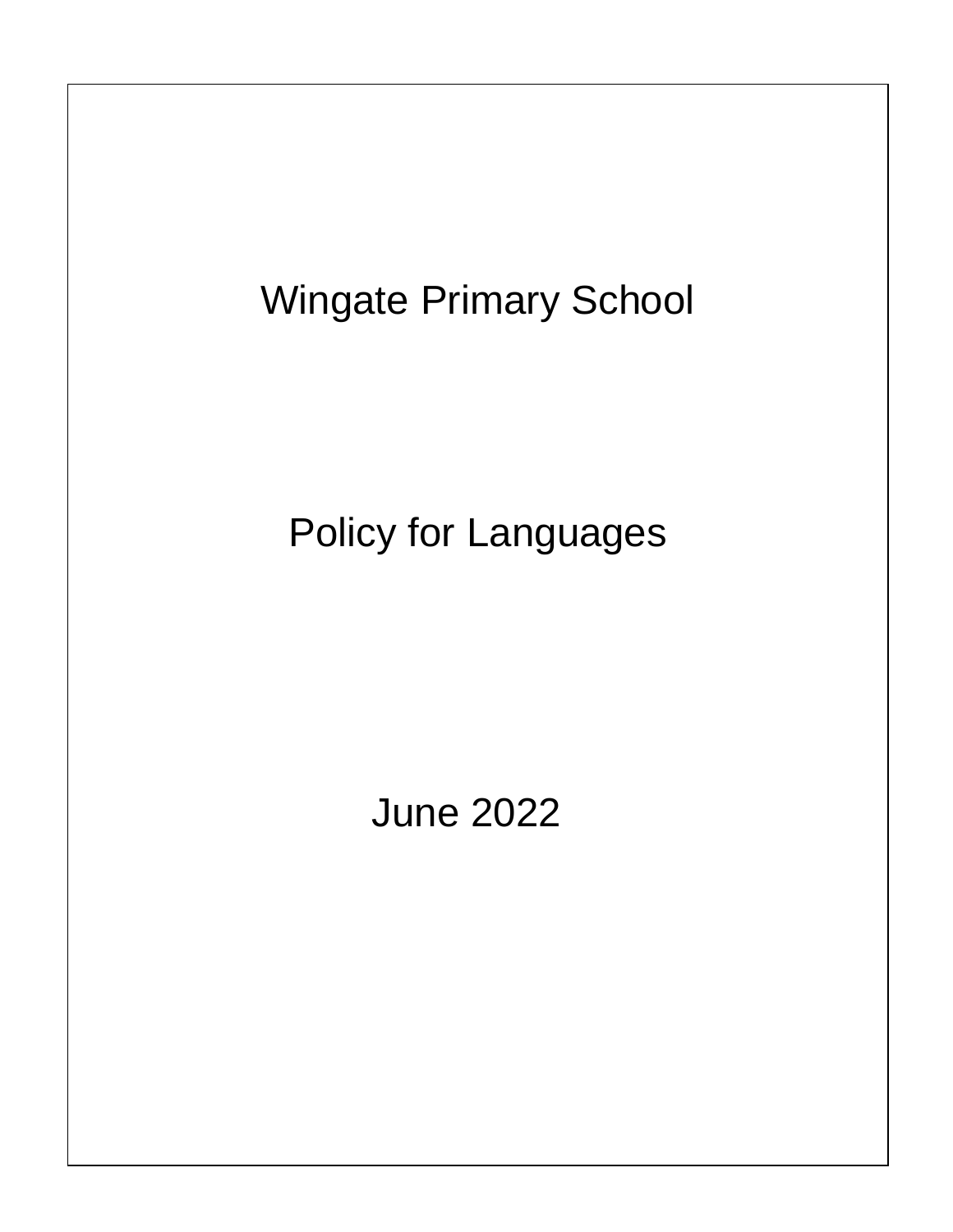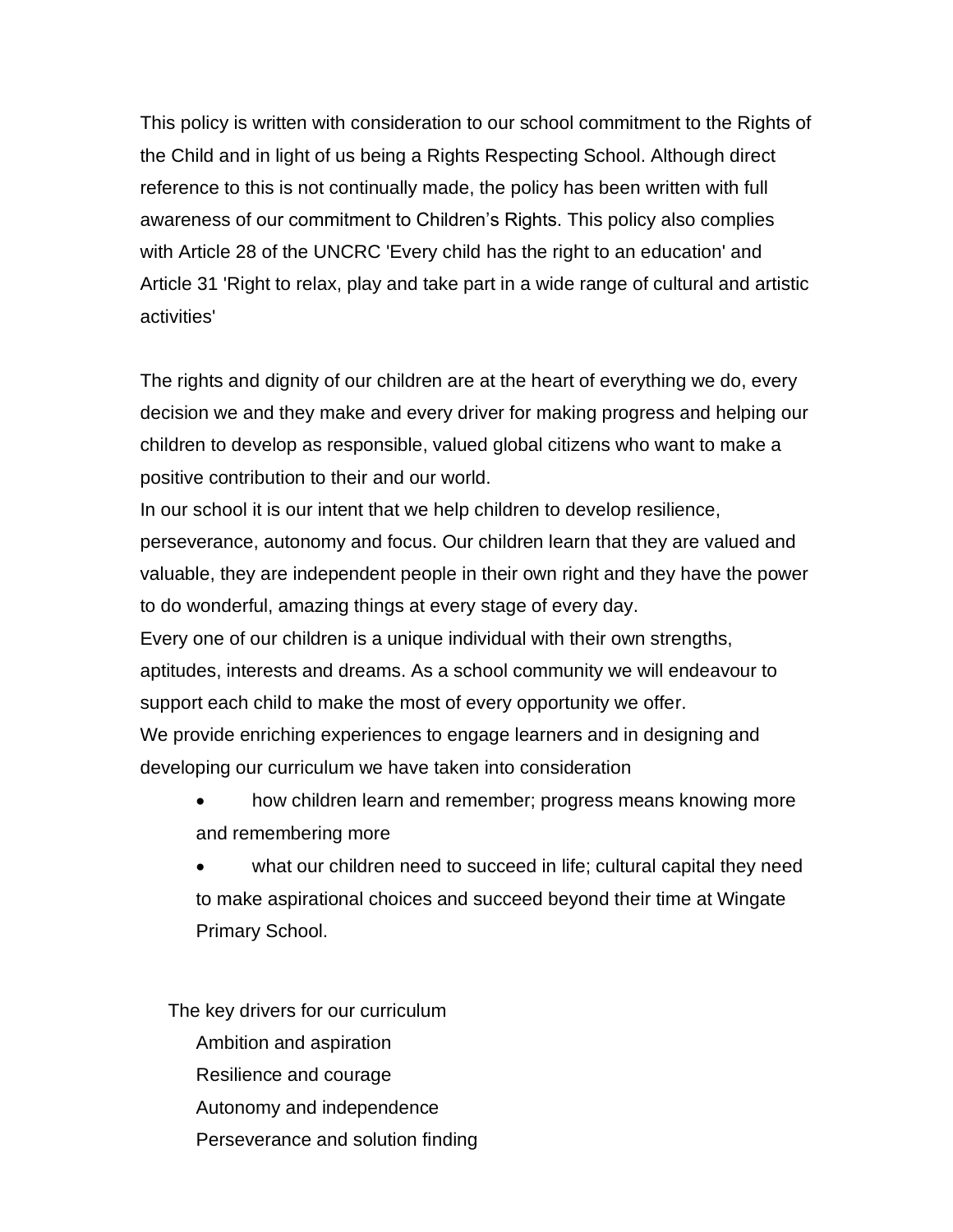This policy is written with consideration to our school commitment to the Rights of the Child and in light of us being a Rights Respecting School. Although direct reference to this is not continually made, the policy has been written with full awareness of our commitment to Children's Rights. This policy also complies with Article 28 of the UNCRC 'Every child has the right to an education' and Article 31 'Right to relax, play and take part in a wide range of cultural and artistic activities'

The rights and dignity of our children are at the heart of everything we do, every decision we and they make and every driver for making progress and helping our children to develop as responsible, valued global citizens who want to make a positive contribution to their and our world.

In our school it is our intent that we help children to develop resilience, perseverance, autonomy and focus. Our children learn that they are valued and valuable, they are independent people in their own right and they have the power to do wonderful, amazing things at every stage of every day.

Every one of our children is a unique individual with their own strengths, aptitudes, interests and dreams. As a school community we will endeavour to support each child to make the most of every opportunity we offer.

We provide enriching experiences to engage learners and in designing and developing our curriculum we have taken into consideration

- how children learn and remember; progress means knowing more and remembering more
- what our children need to succeed in life; cultural capital they need to make aspirational choices and succeed beyond their time at Wingate Primary School.

The key drivers for our curriculum Ambition and aspiration Resilience and courage Autonomy and independence Perseverance and solution finding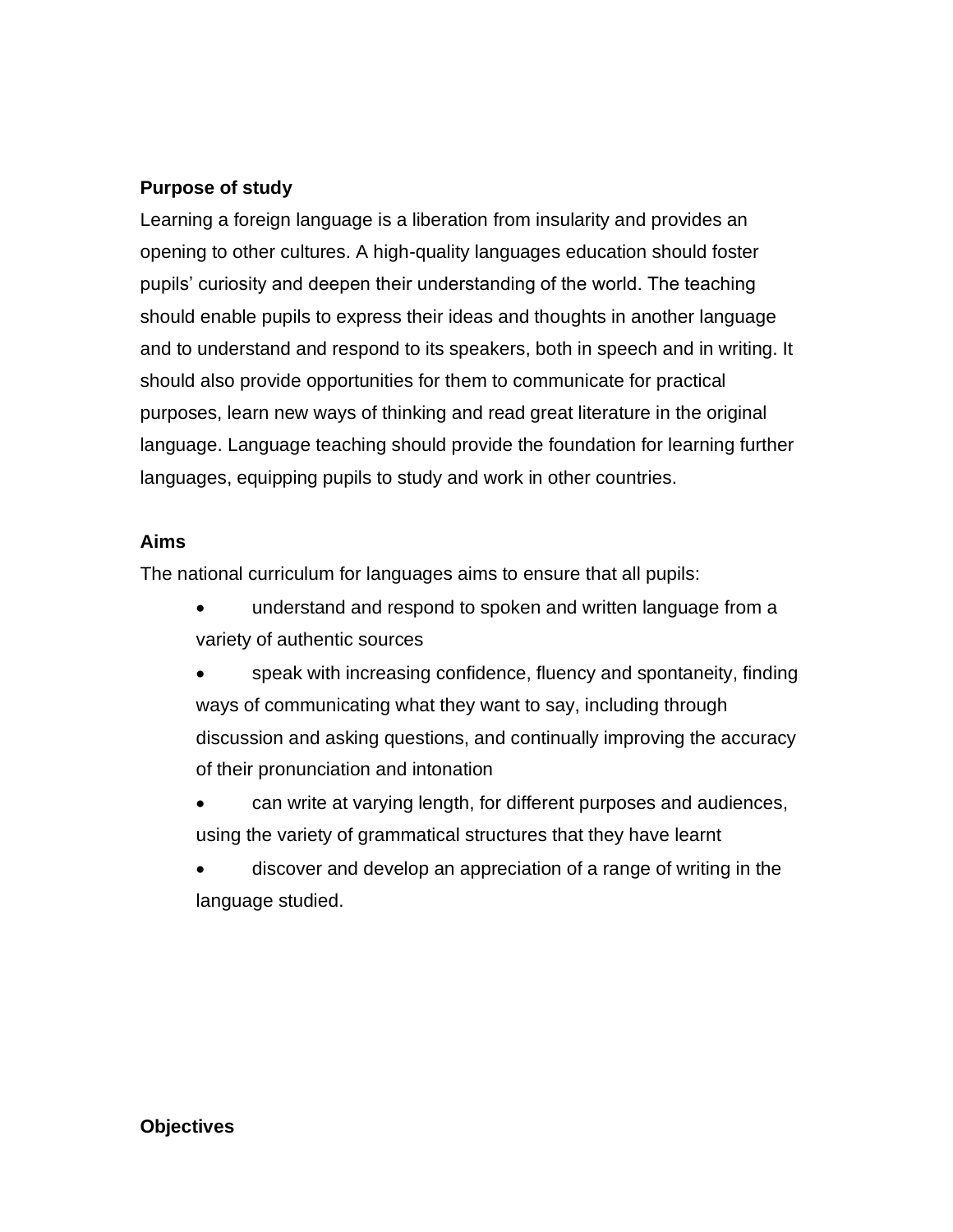### **Purpose of study**

Learning a foreign language is a liberation from insularity and provides an opening to other cultures. A high-quality languages education should foster pupils' curiosity and deepen their understanding of the world. The teaching should enable pupils to express their ideas and thoughts in another language and to understand and respond to its speakers, both in speech and in writing. It should also provide opportunities for them to communicate for practical purposes, learn new ways of thinking and read great literature in the original language. Language teaching should provide the foundation for learning further languages, equipping pupils to study and work in other countries.

### **Aims**

The national curriculum for languages aims to ensure that all pupils:

- understand and respond to spoken and written language from a variety of authentic sources
- speak with increasing confidence, fluency and spontaneity, finding ways of communicating what they want to say, including through discussion and asking questions, and continually improving the accuracy of their pronunciation and intonation
- can write at varying length, for different purposes and audiences, using the variety of grammatical structures that they have learnt
- discover and develop an appreciation of a range of writing in the language studied.

#### **Objectives**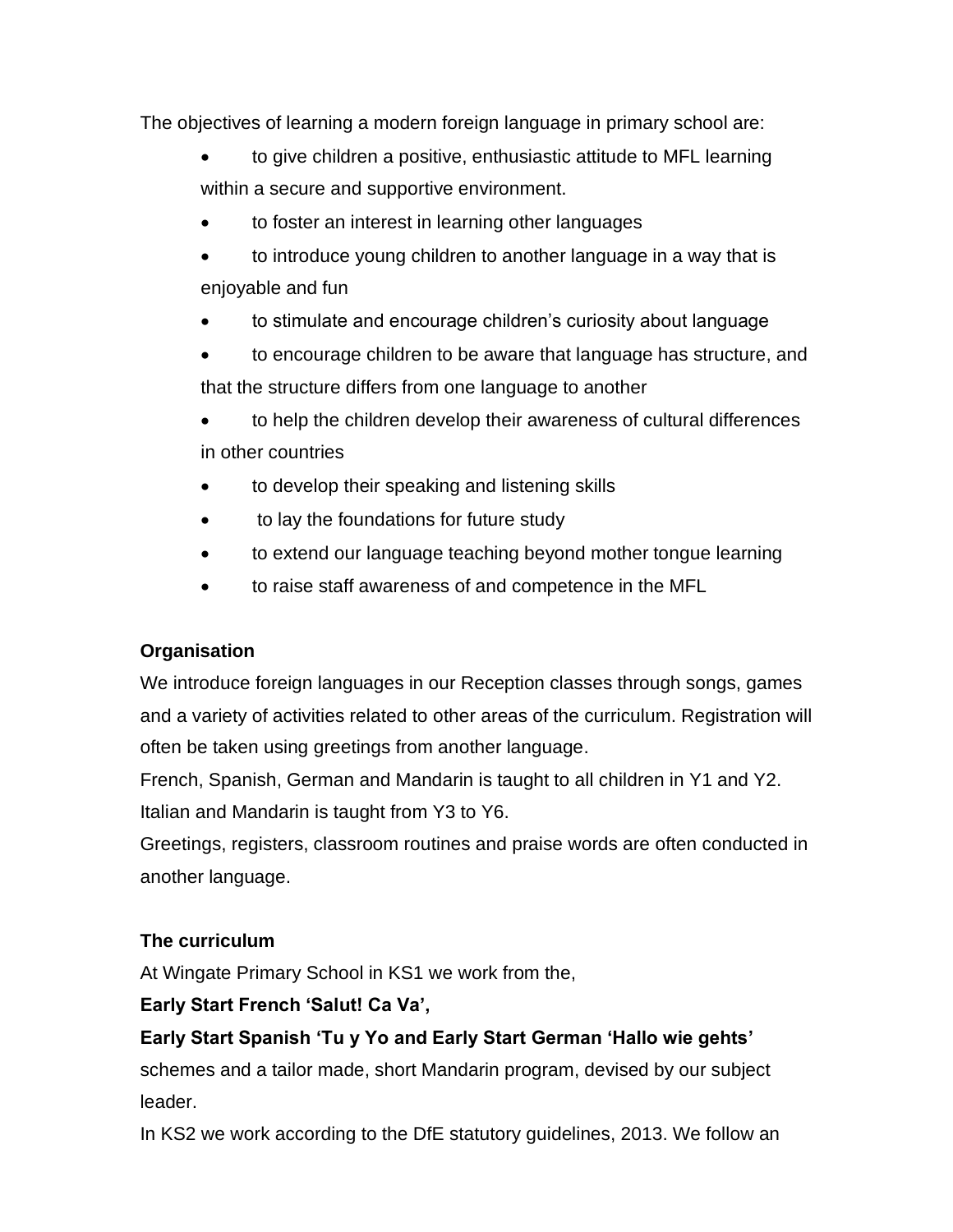The objectives of learning a modern foreign language in primary school are:

- to give children a positive, enthusiastic attitude to MFL learning within a secure and supportive environment.
- to foster an interest in learning other languages
- to introduce young children to another language in a way that is enjoyable and fun
- to stimulate and encourage children's curiosity about language
- to encourage children to be aware that language has structure, and that the structure differs from one language to another
- to help the children develop their awareness of cultural differences in other countries
- to develop their speaking and listening skills
- to lay the foundations for future study
- to extend our language teaching beyond mother tongue learning
- to raise staff awareness of and competence in the MFL

## **Organisation**

We introduce foreign languages in our Reception classes through songs, games and a variety of activities related to other areas of the curriculum. Registration will often be taken using greetings from another language.

French, Spanish, German and Mandarin is taught to all children in Y1 and Y2. Italian and Mandarin is taught from Y3 to Y6.

Greetings, registers, classroom routines and praise words are often conducted in another language.

## **The curriculum**

At Wingate Primary School in KS1 we work from the,

# **Early Start French 'Salut! Ca Va',**

# **Early Start Spanish 'Tu y Yo and Early Start German 'Hallo wie gehts'**

schemes and a tailor made, short Mandarin program, devised by our subject leader.

In KS2 we work according to the DfE statutory guidelines, 2013. We follow an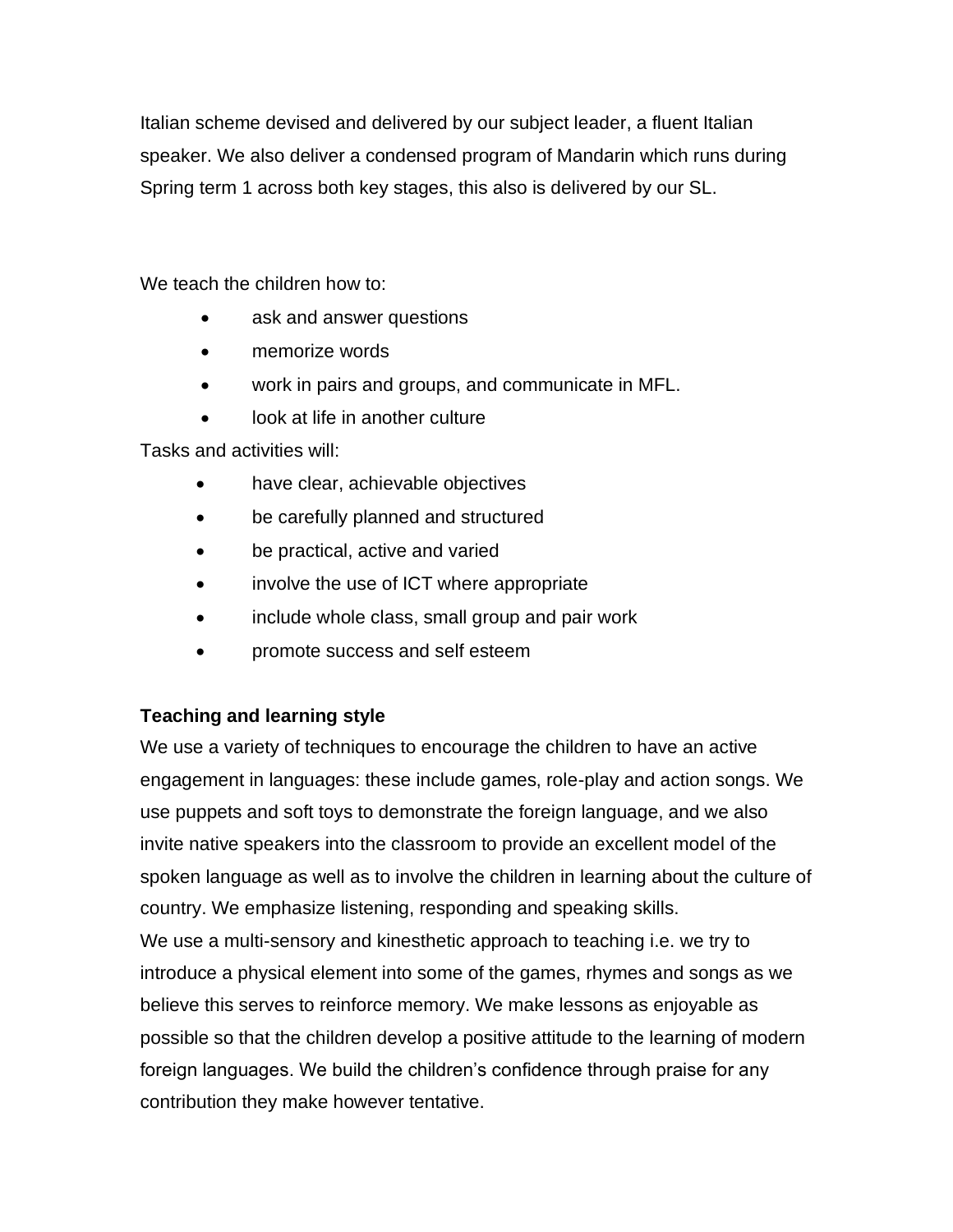Italian scheme devised and delivered by our subject leader, a fluent Italian speaker. We also deliver a condensed program of Mandarin which runs during Spring term 1 across both key stages, this also is delivered by our SL.

We teach the children how to:

- ask and answer questions
- memorize words
- work in pairs and groups, and communicate in MFL.
- look at life in another culture

Tasks and activities will:

- have clear, achievable objectives
- be carefully planned and structured
- be practical, active and varied
- involve the use of ICT where appropriate
- include whole class, small group and pair work
- promote success and self esteem

### **Teaching and learning style**

We use a variety of techniques to encourage the children to have an active engagement in languages: these include games, role-play and action songs. We use puppets and soft toys to demonstrate the foreign language, and we also invite native speakers into the classroom to provide an excellent model of the spoken language as well as to involve the children in learning about the culture of country. We emphasize listening, responding and speaking skills. We use a multi-sensory and kinesthetic approach to teaching i.e. we try to introduce a physical element into some of the games, rhymes and songs as we believe this serves to reinforce memory. We make lessons as enjoyable as possible so that the children develop a positive attitude to the learning of modern foreign languages. We build the children's confidence through praise for any contribution they make however tentative.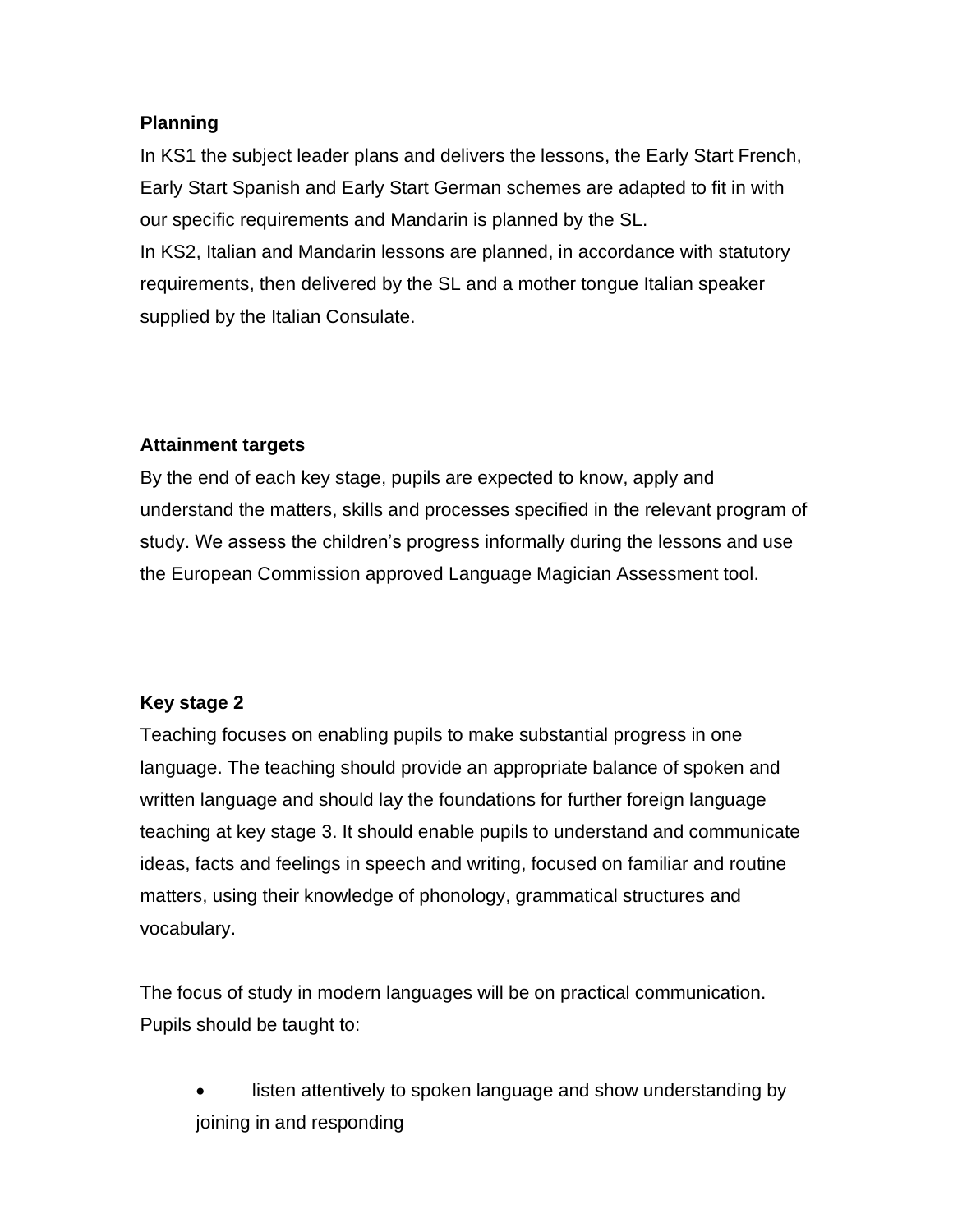### **Planning**

In KS1 the subject leader plans and delivers the lessons, the Early Start French, Early Start Spanish and Early Start German schemes are adapted to fit in with our specific requirements and Mandarin is planned by the SL. In KS2, Italian and Mandarin lessons are planned, in accordance with statutory requirements, then delivered by the SL and a mother tongue Italian speaker supplied by the Italian Consulate.

## **Attainment targets**

By the end of each key stage, pupils are expected to know, apply and understand the matters, skills and processes specified in the relevant program of study. We assess the children's progress informally during the lessons and use the European Commission approved Language Magician Assessment tool.

## **Key stage 2**

Teaching focuses on enabling pupils to make substantial progress in one language. The teaching should provide an appropriate balance of spoken and written language and should lay the foundations for further foreign language teaching at key stage 3. It should enable pupils to understand and communicate ideas, facts and feelings in speech and writing, focused on familiar and routine matters, using their knowledge of phonology, grammatical structures and vocabulary.

The focus of study in modern languages will be on practical communication. Pupils should be taught to:

listen attentively to spoken language and show understanding by joining in and responding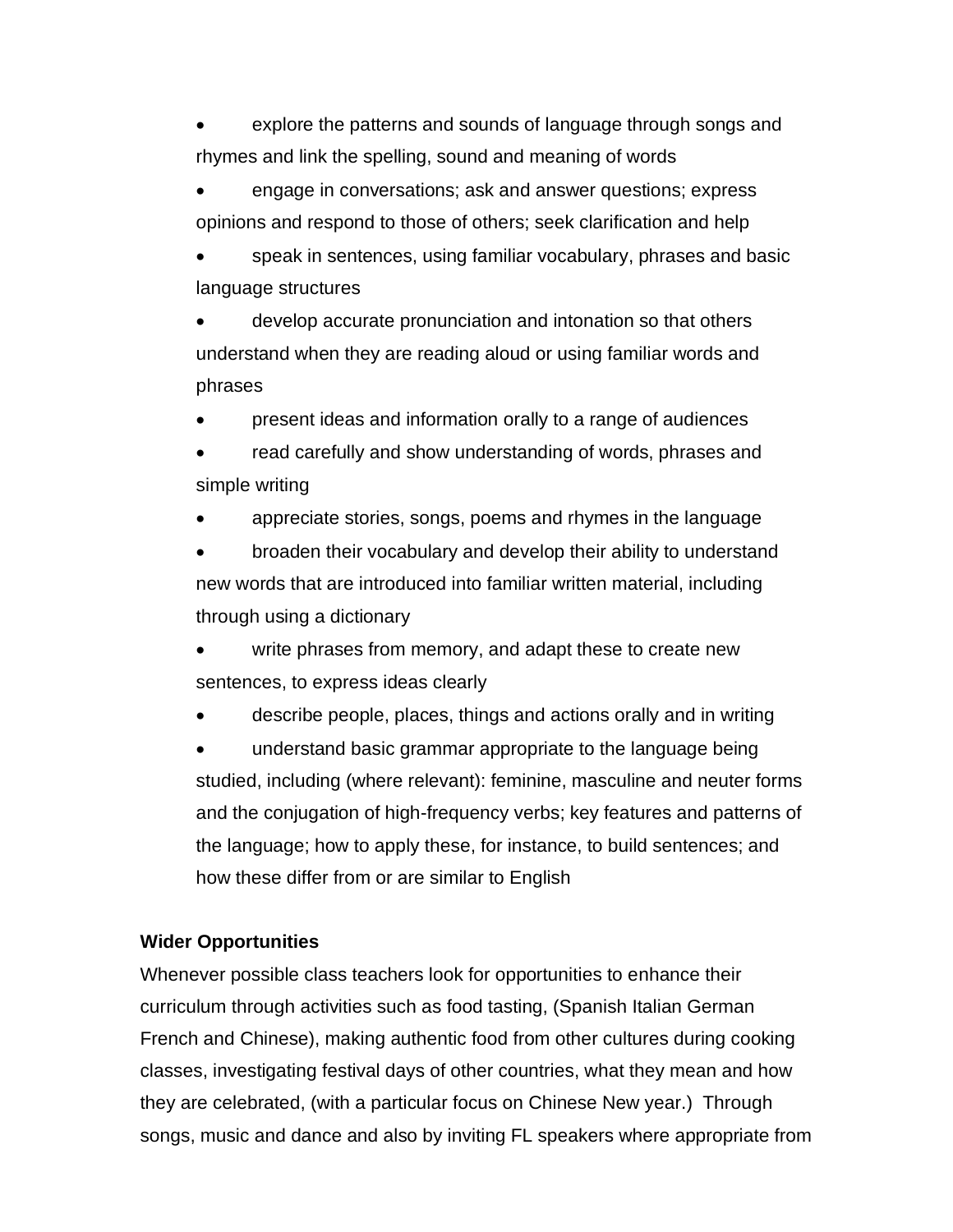explore the patterns and sounds of language through songs and rhymes and link the spelling, sound and meaning of words

• engage in conversations; ask and answer questions; express opinions and respond to those of others; seek clarification and help

speak in sentences, using familiar vocabulary, phrases and basic language structures

• develop accurate pronunciation and intonation so that others understand when they are reading aloud or using familiar words and phrases

• present ideas and information orally to a range of audiences

read carefully and show understanding of words, phrases and simple writing

• appreciate stories, songs, poems and rhymes in the language

• broaden their vocabulary and develop their ability to understand new words that are introduced into familiar written material, including through using a dictionary

write phrases from memory, and adapt these to create new sentences, to express ideas clearly

describe people, places, things and actions orally and in writing

• understand basic grammar appropriate to the language being studied, including (where relevant): feminine, masculine and neuter forms and the conjugation of high-frequency verbs; key features and patterns of the language; how to apply these, for instance, to build sentences; and how these differ from or are similar to English

### **Wider Opportunities**

Whenever possible class teachers look for opportunities to enhance their curriculum through activities such as food tasting, (Spanish Italian German French and Chinese), making authentic food from other cultures during cooking classes, investigating festival days of other countries, what they mean and how they are celebrated, (with a particular focus on Chinese New year.) Through songs, music and dance and also by inviting FL speakers where appropriate from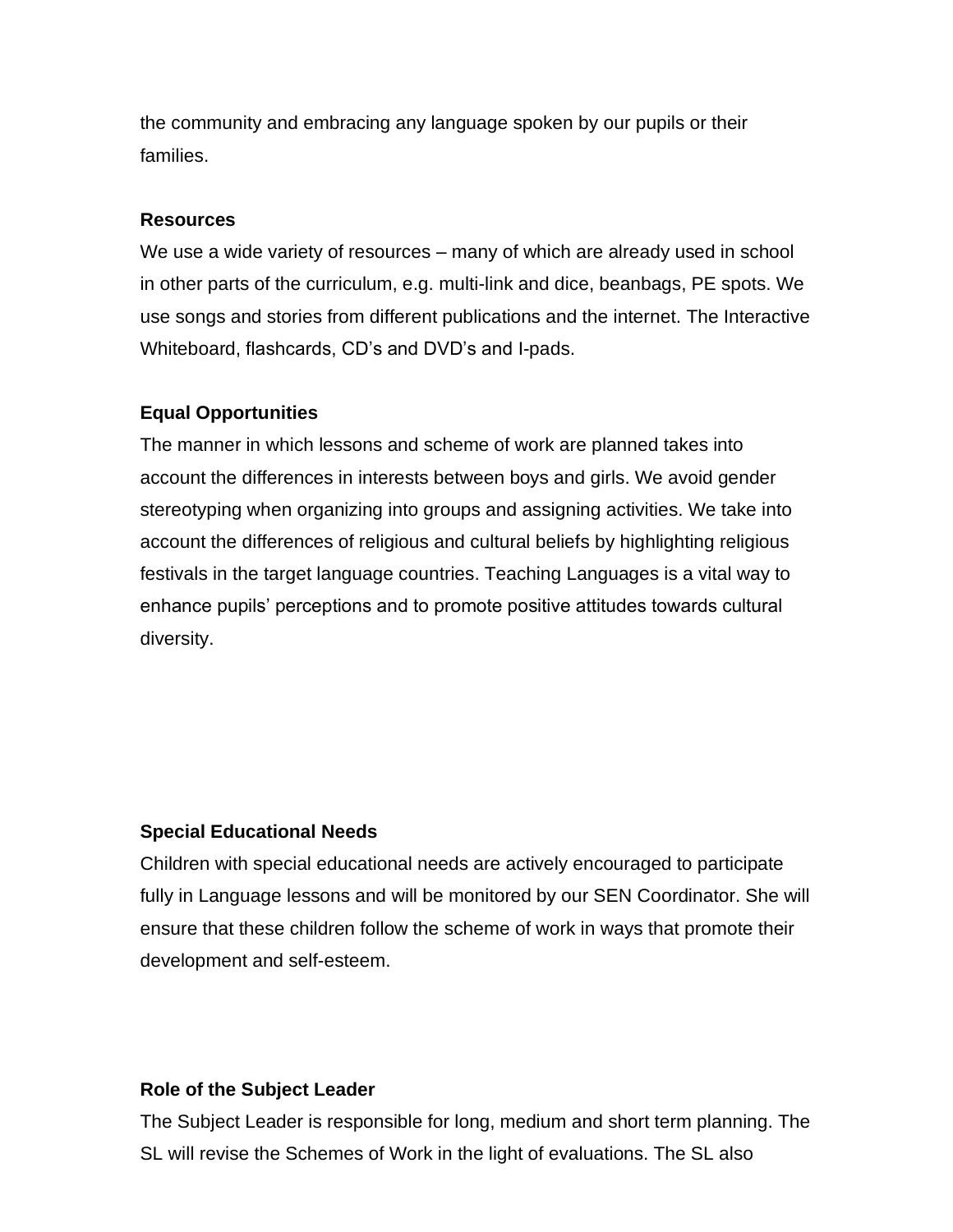the community and embracing any language spoken by our pupils or their families.

#### **Resources**

We use a wide variety of resources – many of which are already used in school in other parts of the curriculum, e.g. multi-link and dice, beanbags, PE spots. We use songs and stories from different publications and the internet. The Interactive Whiteboard, flashcards, CD's and DVD's and I-pads.

#### **Equal Opportunities**

The manner in which lessons and scheme of work are planned takes into account the differences in interests between boys and girls. We avoid gender stereotyping when organizing into groups and assigning activities. We take into account the differences of religious and cultural beliefs by highlighting religious festivals in the target language countries. Teaching Languages is a vital way to enhance pupils' perceptions and to promote positive attitudes towards cultural diversity.

#### **Special Educational Needs**

Children with special educational needs are actively encouraged to participate fully in Language lessons and will be monitored by our SEN Coordinator. She will ensure that these children follow the scheme of work in ways that promote their development and self-esteem.

#### **Role of the Subject Leader**

The Subject Leader is responsible for long, medium and short term planning. The SL will revise the Schemes of Work in the light of evaluations. The SL also